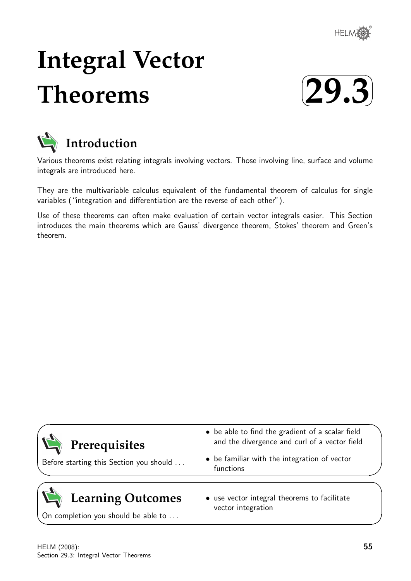

# **Integral Vector Theorems**





Various theorems exist relating integrals involving vectors. Those involving line, surface and volume integrals are introduced here.

They are the multivariable calculus equivalent of the fundamental theorem of calculus for single variables ("integration and differentiation are the reverse of each other").

Use of these theorems can often make evaluation of certain vector integrals easier. This Section introduces the main theorems which are Gauss' divergence theorem, Stokes' theorem and Green's theorem.

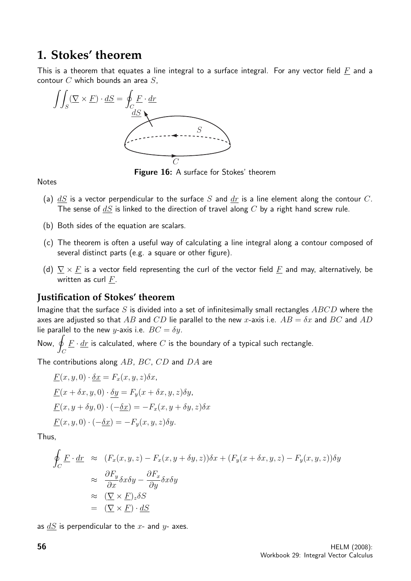## **1. Stokes' theorem**

This is a theorem that equates a line integral to a surface integral. For any vector field  $F$  and a contour  $C$  which bounds an area  $S$ .



Figure 16: A surface for Stokes' theorem

**Notes** 

- (a)  $dS$  is a vector perpendicular to the surface S and  $dr$  is a line element along the contour C. The sense of  $dS$  is linked to the direction of travel along  $C$  by a right hand screw rule.
- (b) Both sides of the equation are scalars.
- (c) The theorem is often a useful way of calculating a line integral along a contour composed of several distinct parts (e.g. a square or other figure).
- (d)  $\nabla \times F$  is a vector field representing the curl of the vector field F and may, alternatively, be written as curl  $F$ .

#### **Justification of Stokes' theorem**

Imagine that the surface S is divided into a set of infinitesimally small rectangles  $ABCD$  where the axes are adjusted so that AB and CD lie parallel to the new x-axis i.e.  $AB = \delta x$  and BC and AD lie parallel to the new y-axis i.e.  $BC = \delta y$ .

Now, g  $\mathcal{C}_{0}^{(n)}$  $\underline{F}\cdot \underline{dr}$  is calculated, where  $C$  is the boundary of a typical such rectangle.

The contributions along  $AB$ ,  $BC$ ,  $CD$  and  $DA$  are

$$
\underline{F}(x, y, 0) \cdot \underline{\delta x} = F_x(x, y, z) \delta x,
$$
  
\n
$$
\underline{F}(x + \delta x, y, 0) \cdot \underline{\delta y} = F_y(x + \delta x, y, z) \delta y,
$$
  
\n
$$
\underline{F}(x, y + \delta y, 0) \cdot (-\underline{\delta x}) = -F_x(x, y + \delta y, z) \delta x
$$
  
\n
$$
\underline{F}(x, y, 0) \cdot (-\underline{\delta x}) = -F_y(x, y, z) \delta y.
$$

Thus,

$$
\oint_C \underline{F} \cdot \underline{dr} \approx (F_x(x, y, z) - F_x(x, y + \delta y, z))\delta x + (F_y(x + \delta x, y, z) - F_y(x, y, z))\delta y
$$
\n
$$
\approx \frac{\partial F_y}{\partial x} \delta x \delta y - \frac{\partial F_x}{\partial y} \delta x \delta y
$$
\n
$$
\approx (\underline{\nabla} \times \underline{F})_z \delta S
$$
\n
$$
= (\nabla \times \underline{F}) \cdot dS
$$

as  $dS$  is perpendicular to the x- and  $y$ - axes.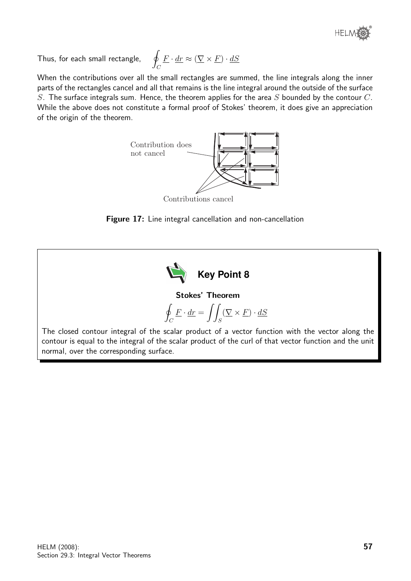

Thus, for each small rectangle,

$$
\oint_C \underline{F} \cdot \underline{dr} \approx (\nabla \times \underline{F}) \cdot \underline{dS}
$$

When the contributions over all the small rectangles are summed, the line integrals along the inner parts of the rectangles cancel and all that remains is the line integral around the outside of the surface S. The surface integrals sum. Hence, the theorem applies for the area S bounded by the contour  $C$ . While the above does not constitute a formal proof of Stokes' theorem, it does give an appreciation of the origin of the theorem.



Contributions cancel

Figure 17: Line integral cancellation and non-cancellation



Stokes' Theorem

$$
\oint_C \underline{F} \cdot \underline{dr} = \iint_S (\nabla \times \underline{F}) \cdot \underline{dS}
$$

The closed contour integral of the scalar product of a vector function with the vector along the contour is equal to the integral of the scalar product of the curl of that vector function and the unit normal, over the corresponding surface.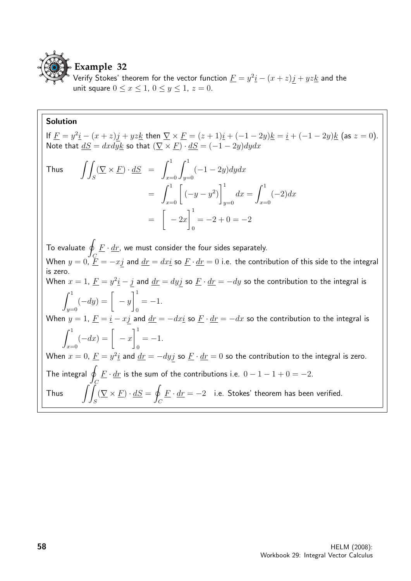

Verify Stokes' theorem for the vector function  $\underline{F} = y^2 \underline{i} - (x+z)j + yz \underline{k}$  and the unit square  $0 \le x \le 1$ ,  $0 \le y \le 1$ ,  $z = 0$ .

#### Solution

If  $\underline{F} = y^2 \underline{i} - (x + z) \underline{j} + yz \underline{k}$  then  $\nabla \times \underline{F} = (z + 1)\underline{i} + (-1 - 2y) \underline{k} = \underline{i} + (-1 - 2y) \underline{k}$  (as  $z = 0$ ). Note that  $\underline{dS} = dxdy\underline{k}$  so that  $(\nabla \times \underline{F}) \cdot \underline{dS} = (-1-2y)dydx$ 

Thus 
$$
\iint_S (\nabla \times \underline{F}) \cdot d\underline{S} = \int_{x=0}^1 \int_{y=0}^1 (-1 - 2y) dy dx
$$

$$
= \int_{x=0}^1 \left[ (-y - y^2) \right]_{y=0}^1 dx = \int_{x=0}^1 (-2) dx
$$

$$
= \left[ -2x \right]_0^1 = -2 + 0 = -2
$$

To evaluate  $\hat{q}$  $\mathcal C$  $\underline{F}\cdot \underline{dr}$ , we must consider the four sides separately. When  $y=0, \, \underline{F}=-xj$  and  $\underline{dr}=dx\underline{i}$  so  $\underline{F}\cdot \underline{dr}=0$  i.e. the contribution of this side to the integral is zero. When  $x=1$ ,  $\underline{F}=y^2\underline{i}-j$  and  $\underline{dr}=dyj$  so  $\underline{F}\cdot \underline{dr}=-dy$  so the contribution to the integral is  $\int_0^1$  $y=0$  $(-dy) = \begin{bmatrix} -y \end{bmatrix}$  $\vert$ <sup>1</sup> 0  $=-1.$ When  $y = 1$ ,  $\underline{F} = \underline{i} - x\underline{j}$  and  $\underline{dr} = -dx\underline{i}$  so  $\underline{F} \cdot \underline{dr} = -dx$  so the contribution to the integral is  $\int_0^1$  $x=0$  $(-dx) = \begin{bmatrix} -x \end{bmatrix}$  $\vert$ <sup>1</sup>  $\mathbf{0}$  $=-1.$ When  $x=0$ ,  $\underline{F}=y^2\underline{i}$  and  $\underline{dr}=-dy\overline{j}$  so  $\underline{F}\cdot \underline{dr}=0$  so the contribution to the integral is zero. The integral  $q$ C  $\underline{F}\cdot \underline{dr}$  is the sum of the contributions i.e.  $0-1-1+0=-2.$ Thus  $\int$ S  $(\nabla \times \underline{F}) \cdot dS = \emptyset$  $\mathcal C$  $\underline{F} \cdot \underline{dr} = -2$  i.e. Stokes' theorem has been verified.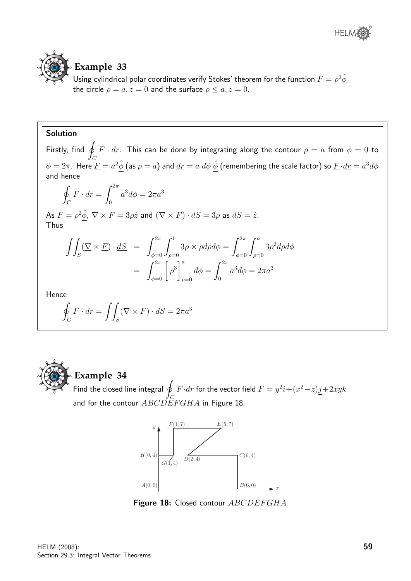

## **Example 33**

Using cylindrical polar coordinates verify Stokes' theorem for the function  $\underline{F}=\rho^2\hat{\phi}$ the circle  $\rho = a, z = 0$  and the surface  $\rho \le a, z = 0$ .

#### Solution

Firstly, find  $\oint \underline{F} \cdot \underline{dr}$ . This can be done by integrating along the contour  $\rho = a$  from  $\phi = 0$  to  $\mathcal{C}_{0}^{(n)}$  $\phi=2\pi.$  Here  $\underline{F}=a^2\hat{\phi}$  (as  $\rho=a)$  and  $\underline{dr}=a\;d\phi\;\hat{\phi}$  (remembering the scale factor) so  $\underline{F}\cdot d\underline{r}=a^3d\phi$ and hence  $\oint \underline{F} \cdot d\underline{r} = \int^{2\pi} a^3 d\phi = 2\pi a^3$  $C$   $J_0$ As  $\underline{F}=\rho^2\hat{\phi},~\underline{\nabla}\times\underline{F}=3\rho\hat{\underline{z}}$  and  $(\underline{\nabla}\times\underline{F})\cdot\underline{dS}=3\rho$  as  $\underline{dS}=\hat{\underline{z}}.$ Thus  $\int$ S  $(\nabla \times F) \cdot dS = \int^{2\pi}$  $\phi = 0$  $\int_0^1$  $\rho=0$  $3\rho \times \rho d\rho d\phi = \int^{2\pi}$  $\phi = 0$  $\int_a^a$  $\rho=0$  $3\rho^2 d\rho d\phi$  $= \int_{\phi=0}^{2\pi}$  $\rho^3\Big]^a$  $\rho=0$  $d\phi = \int^{2\pi}$ 0  $a^3d\phi=2\pi a^3$ Hence l.  $\mathcal{C}_{0}^{0}$  $\underline{F} \cdot \underline{dr} = \int$ S  $(\underline{\nabla} \times \underline{F}) \cdot \underline{dS} = 2\pi a^3$ 



#### **Example 34**

 $\overline{F}$  Find the closed line integral  $\overline{q}$ C  $\underline{F}\!\cdot\!\underline{dr}$  for the vector field  $\underline{F} = y^2\underline{i} + (x^2\!-\!z)j\!+\!2xy\underline{k}$ and for the contour  $ABCDEFGHA$  in Figure 18.



Figure 18: Closed contour ABCDEFGHA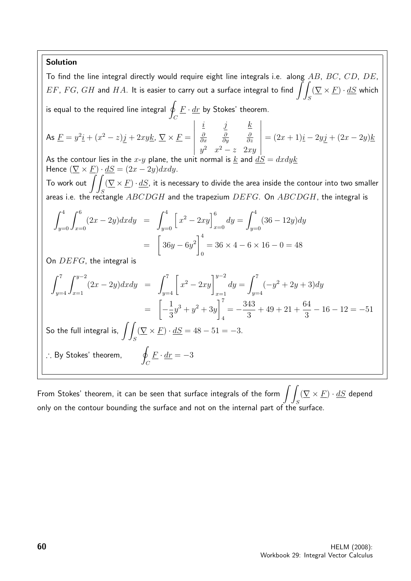#### Solution

To find the line integral directly would require eight line integrals i.e. along  $AB$ ,  $BC$ ,  $CD$ ,  $DE$ ,  $EF,\,FG,\,GH$  and  $HA.$  It is easier to carry out a surface integral to find  $\int\int$ S  $(\underline{\nabla} \times \underline{F}) \cdot \underline{dS}$  which is equal to the required line integral  $\oint \underline{F}\cdot \underline{dr}$  by Stokes' theorem.  $\mathcal{C}_{0}^{(n)}$ As  $\underline{F} = y^2 \underline{i} + (x^2-z) \underline{j} + 2xy \underline{k}, \ \underline{\nabla} \times \underline{F} =$  $\begin{array}{c} \hline \end{array}$  $i$  j  $k$ ∂ ∂x ∂ ∂y ∂ ∂z  $y^2$   $x^2 - z$  2xy  $=(2x+1)i-2yj+(2x-2y)k$ As the contour lies in the x-y plane, the unit normal is  $k$  and  $dS =$ Hence  $(\nabla \times F) \cdot dS = (2x - 2y)dxdy$ . To work out  $\iint (\nabla \times F) \cdot dS$ , it is necessary to divide the area inside the contour into two smaller areas i.e. the rectangle  $ABCDGH$  and the trapezium  $DEFG$ . On  $ABCDGH$ , the integral is  $\int_0^4$  $y=0$  $\int_0^6$  $x=0$  $(2x-2y)dxdy = \int_0^4$  $y=0$  $\left[x^2 - 2xy\right]_{x=0}^{6} dy = \int_{y=0}^{4}$  $y=0$  $(36 - 12y)dy$ =  $\sqrt{ }$  $36y - 6y^2\Big]^4$  $\mathbf{0}$  $= 36 \times 4 - 6 \times 16 - 0 = 48$ On  $DEFG$ , the integral is  $\int^7$  $y=4$  $\int y^{-2}$  $x=1$  $(2x - 2y)dxdy = \int_{y=4}^{7} [$  $x^2 - 2xy\bigg]^{y-2}$  $x=1$  $dy = \int^7$  $y=4$  $(-y^2 + 2y + 3)dy$ =  $\sqrt{ }$  $\frac{1}{2}$ 3  $y^3 + y^2 + 3y$  $\begin{bmatrix} 7 \end{bmatrix}$ 4  $=-\frac{343}{2}$ 3  $+49+21+$ 64 3  $-16 - 12 = -51$ So the full integral is,  $\int$ S  $(\nabla \times \underline{F}) \cdot \underline{dS} = 48 - 51 = -3.$ ∴ By Stokes' theorem,  $\Box$  $\mathcal{C}_{0}^{0}$  $\underline{F} \cdot \underline{dr} = -3$ 

From Stokes' theorem, it can be seen that surface integrals of the form  $\ \int\int (\overline{\nabla}\times \underline{F})\cdot \underline{dS}$  depend only on the contour bounding the surface and not on the internal part of the surface.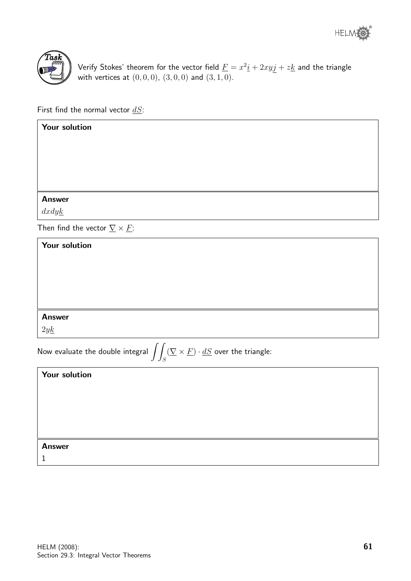



Verify Stokes' theorem for the vector field  $\underline{F} = x^2 \underline{i} + 2xyj + z \underline{k}$  and the triangle with vertices at  $(0, 0, 0)$ ,  $(3, 0, 0)$  and  $(3, 1, 0)$ .

First find the normal vector  $dS$ :

| Your solution                                                                                                                           |
|-----------------------------------------------------------------------------------------------------------------------------------------|
|                                                                                                                                         |
|                                                                                                                                         |
|                                                                                                                                         |
|                                                                                                                                         |
| <b>Answer</b>                                                                                                                           |
| dxdyk                                                                                                                                   |
| Then find the vector $\underline{\nabla} \times \underline{F}$ :                                                                        |
| Your solution                                                                                                                           |
|                                                                                                                                         |
|                                                                                                                                         |
|                                                                                                                                         |
|                                                                                                                                         |
| <b>Answer</b>                                                                                                                           |
| 2yk                                                                                                                                     |
| Now evaluate the double integral $\displaystyle\iint_S (\underline{\nabla}\times \underline{F})\cdot \underline{dS}$ over the triangle: |
| Your solution                                                                                                                           |
|                                                                                                                                         |
|                                                                                                                                         |
|                                                                                                                                         |

Answer

1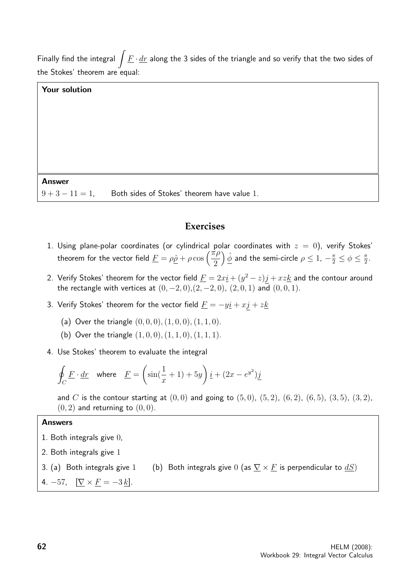Finally find the integral  $\int \underline{F} \cdot \underline{dr}$  along the 3 sides of the triangle and so verify that the two sides of the Stokes' theorem are equal:

#### Your solution

#### Answer

 $9 + 3 - 11 = 1$ , Both sides of Stokes' theorem have value 1.

#### **Exercises**

- 1. Using plane-polar coordinates (or cylindrical polar coordinates with  $z = 0$ ), verify Stokes' theorem for the vector field  $\underline{F} = \rho \hat{\rho} + \rho \cos \left( \frac{\pi \rho}{2} \right)$ 2  $\left(\frac{\hat{\phi}}{2}\right)$  and the semi-circle  $\rho\leq1$ ,  $-\frac{\pi}{2}\leq\phi\leq\frac{\pi}{2}$  $\frac{\pi}{2}$ .
- 2. Verify Stokes' theorem for the vector field  $\underline{F} = 2x\underline{i} + (y^2-z)\underline{j} + xz\underline{k}$  and the contour around the rectangle with vertices at  $(0, -2, 0)$ ,  $(2, -2, 0)$ ,  $(2, 0, 1)$  and  $(0, 0, 1)$ .
- 3. Verify Stokes' theorem for the vector field  $\underline{F} = -y\underline{i} + x\underline{j} + z\underline{k}$ 
	- (a) Over the triangle  $(0, 0, 0), (1, 0, 0), (1, 1, 0)$ .
	- (b) Over the triangle  $(1, 0, 0), (1, 1, 0), (1, 1, 1)$ .
- 4. Use Stokes' theorem to evaluate the integral

$$
\oint_C \underline{F} \cdot \underline{dr} \quad \text{where} \quad \underline{F} = \left(\sin(\frac{1}{x} + 1) + 5y\right)\underline{i} + (2x - e^{y^2})\underline{j}
$$

and C is the contour starting at  $(0, 0)$  and going to  $(5, 0)$ ,  $(5, 2)$ ,  $(6, 2)$ ,  $(6, 5)$ ,  $(3, 5)$ ,  $(3, 2)$ ,  $(0, 2)$  and returning to  $(0, 0)$ .

#### Answers

- 1. Both integrals give 0,
- 2. Both integrals give 1
- 3. (a) Both integrals give 1 (b) Both integrals give 0 (as  $\nabla \times F$  is perpendicular to  $dS$ )
- 4. –57,  $[\nabla \times F = -3k].$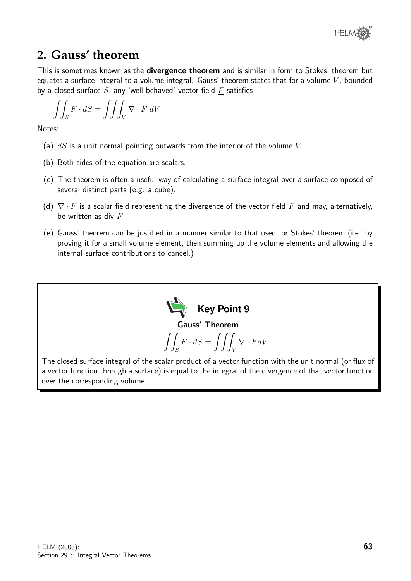

## **2. Gauss' theorem**

This is sometimes known as the **divergence theorem** and is similar in form to Stokes' theorem but equates a surface integral to a volume integral. Gauss' theorem states that for a volume  $V$ , bounded by a closed surface  $S$ , any 'well-behaved' vector field  $F$  satisfies

$$
\int \int_S \underline{F} \cdot \underline{dS} = \int \int \int_V \underline{\nabla} \cdot \underline{F} \, dV
$$

Notes:

- (a)  $dS$  is a unit normal pointing outwards from the interior of the volume V.
- (b) Both sides of the equation are scalars.
- (c) The theorem is often a useful way of calculating a surface integral over a surface composed of several distinct parts (e.g. a cube).
- (d)  $\nabla \cdot F$  is a scalar field representing the divergence of the vector field  $F$  and may, alternatively, be written as div  $F$ .
- (e) Gauss' theorem can be justified in a manner similar to that used for Stokes' theorem (i.e. by proving it for a small volume element, then summing up the volume elements and allowing the internal surface contributions to cancel.)

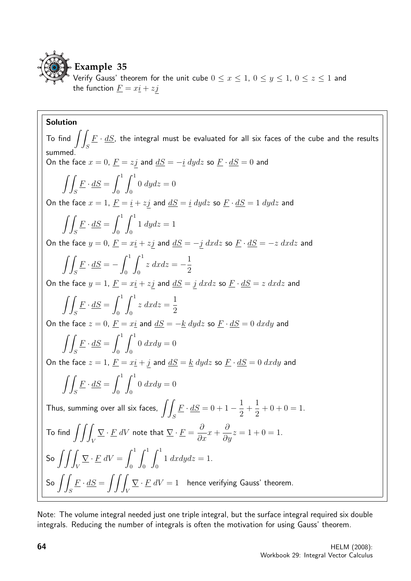

Verify Gauss' theorem for the unit cube  $0 \le x \le 1$ ,  $0 \le y \le 1$ ,  $0 \le z \le 1$  and the function  $\underline{F} = x\underline{i} + z\underline{j}$ 

Solution To find  $\int\! \int E \cdot dS$ , the integral must be evaluated for all six faces of the cube and the results S summed. On the face  $x = 0$ ,  $\underline{F} = zj$  and  $\underline{dS} = -i$  dydz so  $\underline{F} \cdot \underline{dS} = 0$  and  $\int$ S  $\underline{F}\cdot \underline{dS} = \int^1$  $\boldsymbol{0}$  $\int_0^1$  $\boldsymbol{0}$  $0 dydz = 0$ On the face  $x = 1$ ,  $\underline{F} = \underline{i} + z\underline{j}$  and  $\underline{dS} = \underline{i} dydz$  so  $\underline{F} \cdot \underline{dS} = 1 dydz$  and  $\int$ S  $\underline{F}\cdot \underline{dS} = \int^1$  $\boldsymbol{0}$  $\int_0^1$  $\boldsymbol{0}$  $1 \ dydz = 1$ On the face  $y = 0$ ,  $\underline{F} = x\underline{i} + z\underline{j}$  and  $\underline{dS} = -\underline{j} dx dz$  so  $\underline{F} \cdot \underline{dS} = -z dx dz$  and  $\int$ S  $\underline{F}\cdot \underline{dS} = -\int^1$ 0  $\int_0^1$  $\boldsymbol{0}$  $z \, dx dz = -\frac{1}{2}$ 2 On the face  $y = 1$ ,  $\underline{F} = x\underline{i} + z\underline{j}$  and  $\underline{dS} = \underline{j} dx dz$  so  $\underline{F} \cdot \underline{dS} = z dx dz$  and  $\int$ S  $\underline{F}\cdot \underline{dS} = \int^1$  $\mathbf{0}$  $\int_0^1$  $\mathbf{0}$  $z \, dx dz =$ 1 2 On the face  $z = 0$ ,  $\underline{F} = x\underline{i}$  and  $\underline{dS} = -\underline{k}$   $dydz$  so  $\underline{F} \cdot \underline{dS} = 0$   $dxdy$  and  $\int$ S  $\underline{F}\cdot \underline{dS} = \int^1$  $\boldsymbol{0}$  $\int_0^1$  $\boldsymbol{0}$  $0 dx dy = 0$ On the face  $z = 1$ ,  $\underline{F} = x\underline{i} + \underline{j}$  and  $\underline{dS} = \underline{k} dydz$  so  $\underline{F} \cdot \underline{dS} = 0 dxdy$  and  $\int$ S  $\underline{F}\cdot \underline{dS} = \int^1$  $\boldsymbol{0}$  $\int_0^1$  $\boldsymbol{0}$  $0 dx dy = 0$ Thus, summing over all six faces,  $\int$ S  $\underline{F} \cdot \underline{dS} = 0 + 1 - \frac{1}{2}$ 2  $+$ 1 2  $+ 0 + 0 = 1.$ To find  $\int \int$ V  $\overline{\nabla}\cdot \underline{F}$   $dV$  note that  $\overline{\nabla}\cdot \underline{F}=\frac{\partial}{\partial x}$  $\frac{\partial}{\partial x}x +$  $\partial$  $\frac{\partial}{\partial y}z = 1 + 0 = 1.$ So  $\int \int$ V  $\sum$  ·  $\underline{F}$  dV =  $\int_0^1$ 0  $\int_0^1$ 0  $\int_0^1$  $\boldsymbol{0}$  $1 \, dx dy dz = 1.$ So  $\int$ S  $\underline{F} \cdot \underline{dS} = \iint$ V  $\nabla \cdot \underline{F} \ dV = 1$  hence verifying Gauss' theorem.

Note: The volume integral needed just one triple integral, but the surface integral required six double integrals. Reducing the number of integrals is often the motivation for using Gauss' theorem.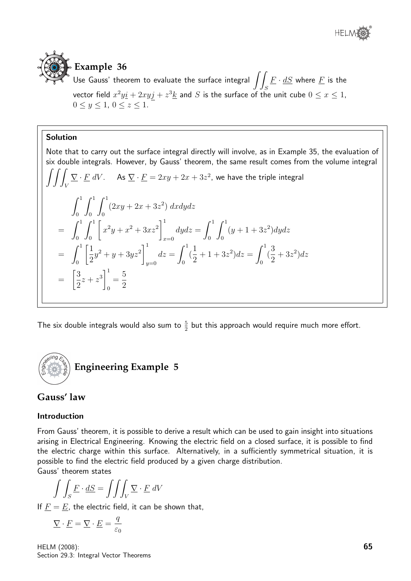

## **Example 36**

Use Gauss' theorem to evaluate the surface integral  $\int$ S  $\underline{F}\cdot \underline{dS}$  where  $\underline{F}$  is the vector field  $x^2 y \underline{i} + 2 x y j + z^3 \underline{k}$  and  $S$  is the surface of the unit cube  $0 \leq x \leq 1,$  $0 \le y \le 1, 0 \le z \le 1.$ 

#### Solution

Note that to carry out the surface integral directly will involve, as in Example 35, the evaluation of six double integrals. However, by Gauss' theorem, the same result comes from the volume integral  $\int \int$ V  $\overline{\nabla}\cdot \underline{F} \; dV$ . As  $\overline{\nabla}\cdot \underline{F}=2xy+2x+3z^2$ , we have the triple integral  $\int_0^1$ 0  $\int_0^1$ 0  $\int_0^1$ 0  $(2xy+2x+3z^2) dx dy dz$  $=$   $\int_1^1$ 0  $\int_0^1$ 0  $\sqrt{ }$  $x^2y + x^2 + 3xz^2$  $\vert$ <sup>1</sup>  $x=0$  $dydz=\int^1$ 0  $\int_0^1$ 0  $(y+1+3z^2)dydz$  $=\int_0^1$ 0  $\lceil 1 \rceil$ 2  $y^2 + y + 3yz^2$  $\vert$ <sup>1</sup>  $y=0$  $dz = \int_0^1$ 0 ( 1 2  $+1+3z^2)dz=\int_0^1$ 0 ( 3 2  $+3z^2)dz$ =  $\lceil 3 \rceil$ 2  $z + z^3\Big]^1$ 0 = 5 2

The six double integrals would also sum to  $\frac{5}{2}$  but this approach would require much more effort.

## **Engineering Example 5**

## **Gauss' law**

#### Introduction

From Gauss' theorem, it is possible to derive a result which can be used to gain insight into situations arising in Electrical Engineering. Knowing the electric field on a closed surface, it is possible to find the electric charge within this surface. Alternatively, in a sufficiently symmetrical situation, it is possible to find the electric field produced by a given charge distribution.

Gauss' theorem states

$$
\int \int_{S} \underline{F} \cdot \underline{dS} = \int \int \int_{V} \underline{\nabla} \cdot \underline{F} \, dV
$$

If  $\underline{F} = \underline{E}$ , the electric field, it can be shown that,

$$
\underline{\nabla} \cdot \underline{F} = \underline{\nabla} \cdot \underline{E} = \frac{q}{\varepsilon_0}
$$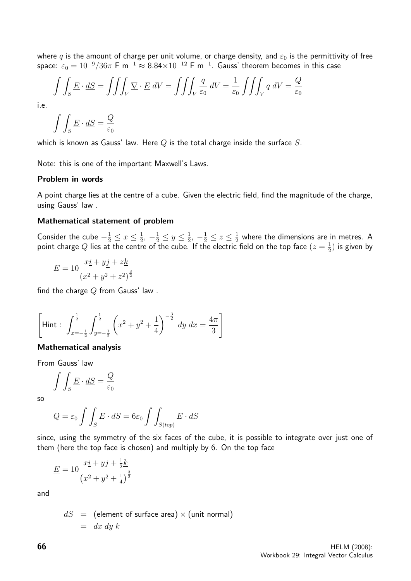where q is the amount of charge per unit volume, or charge density, and  $\varepsilon_0$  is the permittivity of free space:  $\varepsilon_0=10^{-9}/36\pi$  F m $^{-1}$   $\approx 8.84\times 10^{-12}$  F m $^{-1}$ . Gauss' theorem becomes in this case

$$
\int \int_{S} \underline{E} \cdot \underline{dS} = \int \int \int_{V} \underline{\nabla} \cdot \underline{E} \, dV = \int \int \int_{V} \frac{q}{\varepsilon_{0}} \, dV = \frac{1}{\varepsilon_{0}} \int \int \int_{V} q \, dV = \frac{Q}{\varepsilon_{0}}
$$

i.e.

$$
\int \int_S \underline{E} \cdot \underline{dS} = \frac{Q}{\varepsilon_0}
$$

which is known as Gauss' law. Here  $Q$  is the total charge inside the surface  $S$ .

Note: this is one of the important Maxwell's Laws.

#### Problem in words

A point charge lies at the centre of a cube. Given the electric field, find the magnitude of the charge, using Gauss' law .

#### Mathematical statement of problem

Consider the cube  $-\frac{1}{2} \leq x \leq \frac{1}{2}$  $\frac{1}{2}$ ,  $-\frac{1}{2} \leq y \leq \frac{1}{2}$  $\frac{1}{2}$ ,  $-\frac{1}{2} \leq z \leq \frac{1}{2}$  $\frac{1}{2}$  where the dimensions are in metres. A point charge Q lies at the centre of the cube. If the electric field on the top face  $(z=\frac{1}{2})$  $(\frac{1}{2})$  is given by

$$
\underline{E} = 10 \frac{x \underline{i} + y \underline{j} + z \underline{k}}{(x^2 + y^2 + z^2)^{\frac{3}{2}}}
$$

find the charge  $Q$  from Gauss' law.

$$
\left[\text{Hint}: \int_{x=-\frac{1}{2}}^{\frac{1}{2}} \int_{y=-\frac{1}{2}}^{\frac{1}{2}} \left(x^2 + y^2 + \frac{1}{4}\right)^{-\frac{3}{2}} dy dx = \frac{4\pi}{3}\right]
$$

#### Mathematical analysis

From Gauss' law

$$
\int \int_S \underline{E} \cdot \underline{dS} = \frac{Q}{\varepsilon_0}
$$

so

$$
Q = \varepsilon_0 \int \int_S \underline{E} \cdot \underline{dS} = 6\varepsilon_0 \int \int_{S(top)} \underline{E} \cdot \underline{dS}
$$

since, using the symmetry of the six faces of the cube, it is possible to integrate over just one of them (here the top face is chosen) and multiply by 6. On the top face

$$
\underline{E} = 10 \frac{x \underline{i} + y \underline{j} + \frac{1}{2} \underline{k}}{(x^2 + y^2 + \frac{1}{4})^{\frac{3}{2}}}
$$

and

 $dS =$  (element of surface area)  $\times$  (unit normal)  $= dx dy k$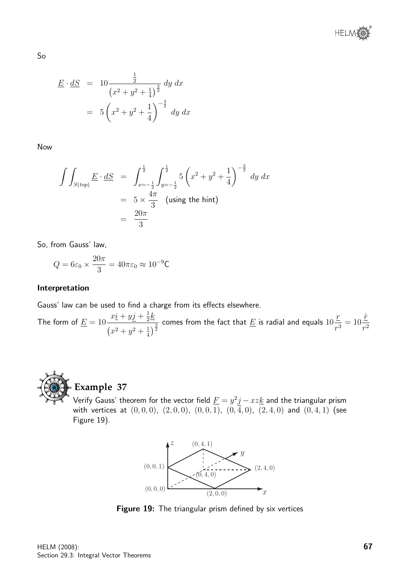

$$
\underline{E} \cdot \underline{dS} = 10 \frac{\frac{1}{2}}{(x^2 + y^2 + \frac{1}{4})^{\frac{3}{2}}} dy dx
$$

$$
= 5 \left(x^2 + y^2 + \frac{1}{4}\right)^{-\frac{3}{2}} dy dx
$$

Now

So

$$
\int \int_{S(top)} \underline{E} \cdot \underline{dS} = \int_{x=-\frac{1}{2}}^{\frac{1}{2}} \int_{y=-\frac{1}{2}}^{\frac{1}{2}} 5 \left( x^2 + y^2 + \frac{1}{4} \right)^{-\frac{3}{2}} dy dx
$$
  
=  $5 \times \frac{4\pi}{3}$  (using the hint)  
=  $\frac{20\pi}{3}$ 

So, from Gauss' law,

$$
Q = 6\varepsilon_0 \times \frac{20\pi}{3} = 40\pi\varepsilon_0 \approx 10^{-9} \text{C}
$$

#### Interpretation

Gauss' law can be used to find a charge from its effects elsewhere.

The form of  $\underline{E}=10$  $x\underline{i} + y\underline{j} + \frac{1}{2}$  $\frac{1}{2}$  $\left(x^2+y^2+\frac{1}{4}\right)$  $\frac{2}{\left(\frac{1}{4}\right)^{\frac{3}{2}}}$  comes from the fact that  $\underline{E}$  is radial and equals  $10$ r  $\frac{1}{r^3} = 10$  $\hat{r}$  $r^2$ 



## **Example 37**

Verify Gauss' theorem for the vector field  $\underline{F} = y^2 j - x z \underline{k}$  and the triangular prism with vertices at  $(0, 0, 0)$ ,  $(2, 0, 0)$ ,  $(0, 0, 1)$ ,  $(0, 4, 0)$ ,  $(2, 4, 0)$  and  $(0, 4, 1)$  (see Figure 19).



Figure 19: The triangular prism defined by six vertices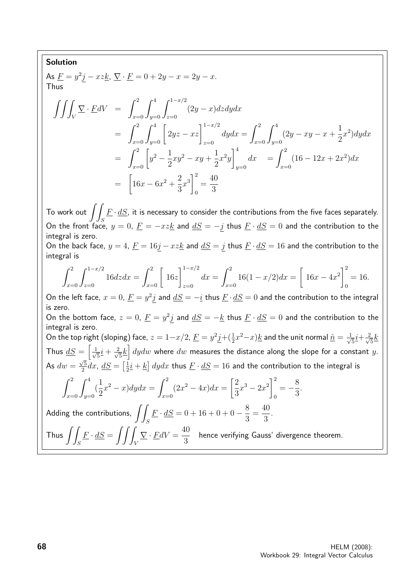#### Solution

As 
$$
\underline{F} = y^2 \underline{j} - xz \underline{k}
$$
,  $\underline{\nabla} \cdot \underline{F} = 0 + 2y - x = 2y - x$ .  
Thus

$$
\iiint_V \nabla \cdot \underline{F}dV = \int_{x=0}^2 \int_{y=0}^4 \int_{z=0}^{1-x/2} (2y-x)dzdydx
$$
  
\n
$$
= \int_{x=0}^2 \int_{y=0}^4 \left[ 2yz - xz \right]_{z=0}^{1-x/2} dydx = \int_{x=0}^2 \int_{y=0}^4 (2y - xy - x + \frac{1}{2}x^2) dydx
$$
  
\n
$$
= \int_{x=0}^2 \left[ y^2 - \frac{1}{2}xy^2 - xy + \frac{1}{2}x^2y \right]_{y=0}^4 dx = \int_{x=0}^2 (16 - 12x + 2x^2) dx
$$
  
\n
$$
= \left[ 16x - 6x^2 + \frac{2}{3}x^3 \right]_0^2 = \frac{40}{3}
$$

To work out  $\int\! \int \underline{F}\cdot \underline{dS}$ , it is necessary to consider the contributions from the five faces separately. On the front face,  $y = 0$ ,  $\underline{F} = -xz\underline{k}$  and  $\underline{dS} = -j$  thus  $\underline{F} \cdot \underline{dS} = 0$  and the contribution to the integral is zero. On the back face,  $y = 4$ ,  $\underline{F} = 16\underline{j} - xz\underline{k}$  and  $\underline{dS} = \underline{j}$  thus  $\underline{F} \cdot \underline{dS} = 16$  and the contribution to the

$$
integral\ is
$$

$$
\int_{x=0}^{2} \int_{z=0}^{1-x/2} 16dz dx = \int_{x=0}^{2} \left[ 16z \right]_{z=0}^{1-x/2} dx = \int_{x=0}^{2} 16(1-x/2) dx = \left[ 16x - 4x^2 \right]_0^2 = 16.
$$

On the left face,  $x=0$ ,  $\underline{F}=y^2j$  and  $\underline{dS}=-\underline{i}$  thus  $\underline{F}\cdot\underline{dS}=0$  and the contribution to the integral is zero. On the bottom face,  $z = 0$ ,  $\underline{F} = y^2 j$  and  $\underline{dS} = -\underline{k}$  thus  $\underline{F} \cdot \underline{dS} = 0$  and the contribution to the integral is zero. On the top right (sloping) face,  $z=1-x/2$ ,  $\underline{F}=y^2\underline{j}+(\frac{1}{2}x^2-x)\underline{k}$  and the unit normal  $\underline{\hat{n}}=\frac{1}{\sqrt{2}}$  $\overline{5}\overline{1}+\frac{2}{\sqrt{2}}$  $\frac{1}{5}$ Thus  $\underline{dS} = \begin{bmatrix} \frac{1}{\sqrt{2}} & 1 \\ 1 & \frac{1}{\sqrt{2}} & 1 \end{bmatrix}$  $\overline{5}$  $\frac{i}{\sqrt{2}}$  $\frac{d^2}{d^2\hbar} \frac{1}{d^2} dy dw$  where  $dw$  measures the distance along the slope for a constant  $y.$ As  $dw = \frac{\sqrt{5}}{2}$ √  $\frac{\sqrt{5}}{2}dx$ ,  $\underline{dS} = \left[\frac{1}{2}\right]$  $\frac{1}{2}\underline{i}+\underline{k}\big]$   $dydx$  thus  $\underline{F}\cdot\underline{dS}=16$  and the contribution to the integral is

$$
\int_{x=0}^{2} \int_{y=0}^{4} \left(\frac{1}{2}x^2 - x\right) dy dx = \int_{x=0}^{2} (2x^2 - 4x) dx = \left[\frac{2}{3}x^3 - 2x^2\right]_0^2 = -\frac{8}{3}.
$$

Adding the contributions,  $\int f$ S  $\underline{F} \cdot \underline{dS} = 0 + 16 + 0 + 0 - \frac{8}{3}$ 3 = 40 3 .

Thus 
$$
\iint_S \underline{F} \cdot \underline{dS} = \iiint_V \nabla \cdot \underline{F} dV = \frac{40}{3}
$$
 hence verifying Gauss' divergence theorem.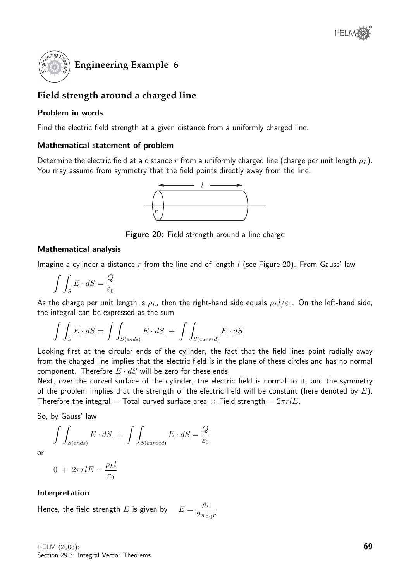

## **Field strength around a charged line**

#### Problem in words

Find the electric field strength at a given distance from a uniformly charged line.

#### Mathematical statement of problem

Determine the electric field at a distance r from a uniformly charged line (charge per unit length  $\rho_L$ ). You may assume from symmetry that the field points directly away from the line.



Figure 20: Field strength around a line charge

#### Mathematical analysis

Imagine a cylinder a distance r from the line and of length  $l$  (see Figure 20). From Gauss' law

 $\int$ S  $\underline{E}\cdot \underline{dS}=\frac{Q}{\varepsilon}$  $\varepsilon_0$ 

As the charge per unit length is  $\rho_L$ , then the right-hand side equals  $\rho_L l/\varepsilon_0$ . On the left-hand side, the integral can be expressed as the sum

$$
\int \int_{S} \underline{E} \cdot \underline{dS} = \int \int_{S(ends)} \underline{E} \cdot \underline{dS} + \int \int_{S(curved)} \underline{E} \cdot \underline{dS}
$$

Looking first at the circular ends of the cylinder, the fact that the field lines point radially away from the charged line implies that the electric field is in the plane of these circles and has no normal component. Therefore  $E \cdot dS$  will be zero for these ends.

Next, over the curved surface of the cylinder, the electric field is normal to it, and the symmetry of the problem implies that the strength of the electric field will be constant (here denoted by  $E$ ). Therefore the integral = Total curved surface area  $\times$  Field strength =  $2\pi r lE$ .

So, by Gauss' law

$$
\int \int_{S(ends)} \underline{E} \cdot \underline{dS} + \int \int_{S(curved)} \underline{E} \cdot \underline{dS} = \frac{Q}{\varepsilon_0}
$$

or

$$
0 + 2\pi r l E = \frac{\rho_L l}{\varepsilon_0}
$$

#### Interpretation

Hence, the field strength E is given by  $E = \frac{\rho_L}{g}$  $2\pi\varepsilon_0r$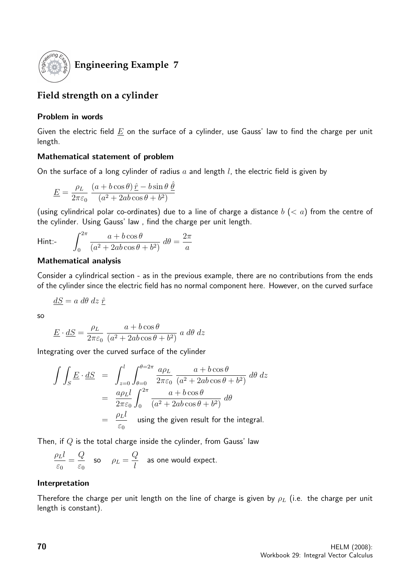

## **Engineering Example 7**

## **Field strength on a cylinder**

#### Problem in words

Given the electric field  $E$  on the surface of a cylinder, use Gauss' law to find the charge per unit length.

#### Mathematical statement of problem

On the surface of a long cylinder of radius  $a$  and length  $l$ , the electric field is given by

$$
\underline{E} = \frac{\rho_L}{2\pi\varepsilon_0} \, \frac{(a + b\cos\theta)\,\hat{\underline{r}} - b\sin\theta\,\hat{\underline{\theta}}}{(a^2 + 2ab\cos\theta + b^2)}
$$

(using cylindrical polar co-ordinates) due to a line of charge a distance  $b$  ( $\lt a$ ) from the centre of the cylinder. Using Gauss' law , find the charge per unit length.

$$
\mathsf{Hint}:
$$

$$
\text{Hint:} \qquad \int_0^{2\pi} \frac{a + b\cos\theta}{(a^2 + 2ab\cos\theta + b^2)} \, d\theta = \frac{2\pi}{a}
$$

#### Mathematical analysis

Consider a cylindrical section - as in the previous example, there are no contributions from the ends of the cylinder since the electric field has no normal component here. However, on the curved surface

$$
\underline{dS} = a \; d\theta \; dz \; \hat{\underline{r}}
$$

so

$$
\underline{E} \cdot \underline{dS} = \frac{\rho_L}{2\pi\varepsilon_0} \frac{a + b\cos\theta}{(a^2 + 2ab\cos\theta + b^2)} a \, d\theta \, dz
$$

Integrating over the curved surface of the cylinder

$$
\int \int_{S} \underline{E} \cdot d\underline{S} = \int_{z=0}^{l} \int_{\theta=0}^{\theta=2\pi} \frac{a\rho_L}{2\pi\varepsilon_0} \frac{a+b\cos\theta}{(a^2+2ab\cos\theta+b^2)} d\theta dz
$$

$$
= \frac{a\rho_L l}{2\pi\varepsilon_0} \int_{0}^{2\pi} \frac{a+b\cos\theta}{(a^2+2ab\cos\theta+b^2)} d\theta
$$

$$
= \frac{\rho_L l}{\varepsilon_0} \quad \text{using the given result for the integral.}
$$

Then, if  $Q$  is the total charge inside the cylinder, from Gauss' law

$$
\frac{\rho_L l}{\varepsilon_0} = \frac{Q}{\varepsilon_0} \quad \text{so} \quad \rho_L = \frac{Q}{l} \quad \text{as one would expect.}
$$

#### Interpretation

Therefore the charge per unit length on the line of charge is given by  $\rho_L$  (i.e. the charge per unit length is constant).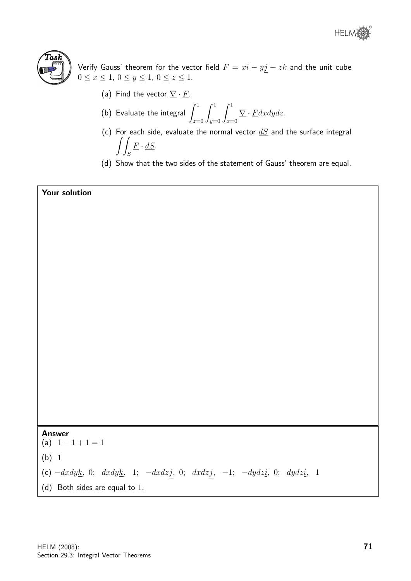



Verify Gauss' theorem for the vector field  $\underline{F} = x \underline{i} - y \underline{j} + z \underline{k}$  and the unit cube  $0 \le x \le 1, 0 \le y \le 1, 0 \le z \le 1.$ 

(a) Find the vector  $\nabla \cdot \underline{F}$ .

(b) Evaluate the integral 
$$
\int_{z=0}^{1} \int_{y=0}^{1} \int_{x=0}^{1} \nabla \cdot E dx dy dz
$$
.

- (c) For each side, evaluate the normal vector  $dS$  and the surface integral  $\int$ S  $\underline{F} \cdot \underline{dS}$ .
- (d) Show that the two sides of the statement of Gauss' theorem are equal.

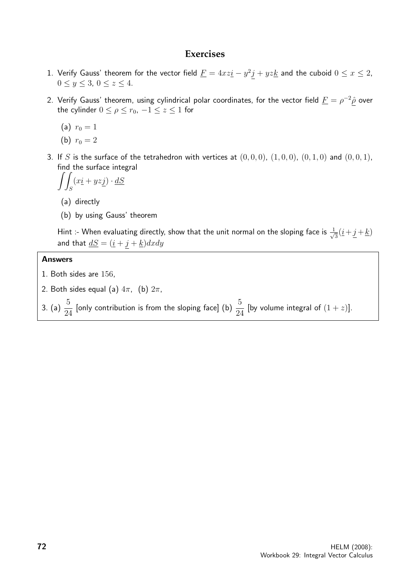#### **Exercises**

- 1. Verify Gauss' theorem for the vector field  $\underline{F} = 4xz \underline{i} y^2 \underline{j} + yz \underline{k}$  and the cuboid  $0 \le x \le 2$ ,  $0 \le y \le 3, \ 0 \le z \le 4.$
- 2. Verify Gauss' theorem, using cylindrical polar coordinates, for the vector field  $\underline{F}=\rho^{-2}\hat{\rho}$  over the cylinder  $0 \le \rho \le r_0$ ,  $-1 \le z \le 1$  for
	- (a)  $r_0 = 1$
	- (b)  $r_0 = 2$
- 3. If S is the surface of the tetrahedron with vertices at  $(0,0,0)$ ,  $(1,0,0)$ ,  $(0,1,0)$  and  $(0,0,1)$ , find the surface integral

$$
\int\!\!\int_S (x\underline{i} + y\underline{z}\underline{j}) \cdot \underline{dS}
$$

- (a) directly
- (b) by using Gauss' theorem

Hint :- When evaluating directly, show that the unit normal on the sloping face is  $\frac{1}{\sqrt{2}}$  $\frac{1}{3}(\underline{i} + \underline{j} + \underline{k})$ and that  $\underline{dS} = (\underline{i} + \underline{j} + \underline{k})dxdy$ 

#### Answers

- 1. Both sides are 156,
- 2. Both sides equal (a)  $4\pi$ , (b)  $2\pi$ ,
- 3. (a)  $\frac{5}{2}$ 24 [only contribution is from the sloping face] (b)  $\frac{5}{2}$ 24 [by volume integral of  $(1 + z)$ ].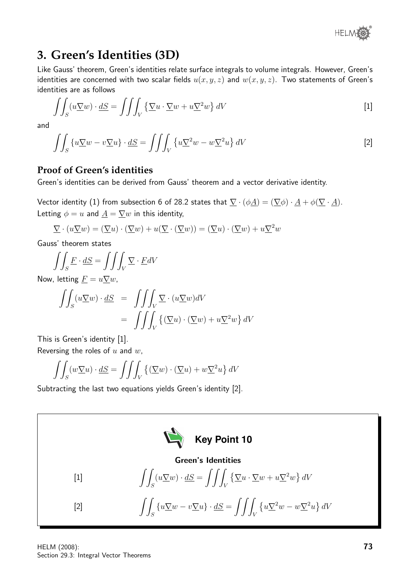

## **3. Green's Identities (3D)**

Like Gauss' theorem, Green's identities relate surface integrals to volume integrals. However, Green's identities are concerned with two scalar fields  $u(x, y, z)$  and  $w(x, y, z)$ . Two statements of Green's identities are as follows

$$
\iint_{S} (u \nabla w) \cdot dS = \iiint_{V} \left\{ \nabla u \cdot \nabla w + u \nabla^{2} w \right\} dV
$$
 [1]

and

$$
\iint_{S} \left\{ u \underline{\nabla} w - v \underline{\nabla} u \right\} \cdot \underline{dS} = \iiint_{V} \left\{ u \underline{\nabla}^{2} w - w \underline{\nabla}^{2} u \right\} dV \tag{2}
$$

#### **Proof of Green's identities**

Green's identities can be derived from Gauss' theorem and a vector derivative identity.

Vector identity (1) from subsection 6 of 28.2 states that  $\nabla \cdot (\phi \underline{A}) = (\nabla \phi) \cdot \underline{A} + \phi (\nabla \cdot \underline{A})$ . Letting  $\phi = u$  and  $\underline{A} = \nabla w$  in this identity,

$$
\underline{\nabla} \cdot (u \underline{\nabla} w) = (\underline{\nabla} u) \cdot (\underline{\nabla} w) + u (\underline{\nabla} \cdot (\underline{\nabla} w)) = (\underline{\nabla} u) \cdot (\underline{\nabla} w) + u \underline{\nabla}^2 w
$$

Gauss' theorem states

$$
\iint_{S} \underline{F} \cdot \underline{dS} = \iiint_{V} \underline{\nabla} \cdot \underline{F} dV
$$

Now, letting  $\underline{F} = u \nabla w$ ,

$$
\iint_{S} (u \nabla w) \cdot dS = \iiint_{V} \nabla \cdot (u \nabla w) dV
$$

$$
= \iiint_{V} \{ (\nabla u) \cdot (\nabla w) + u \nabla^{2} w \} dV
$$

This is Green's identity [1]. Reversing the roles of  $u$  and  $w$ ,

$$
\iint_S (w \nabla u) \cdot dS = \iiint_V \left\{ (\nabla w) \cdot (\nabla u) + w \nabla^2 u \right\} dV
$$

Subtracting the last two equations yields Green's identity [2].

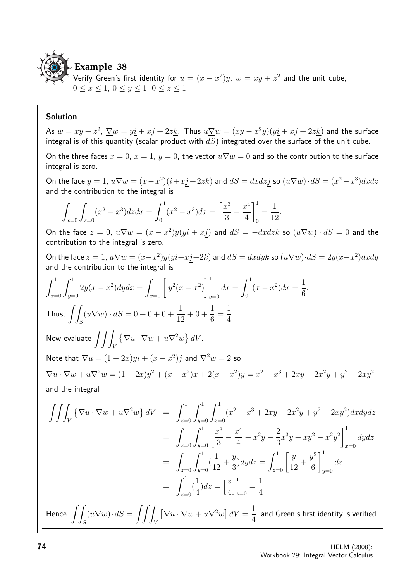

Verify Green's first identity for  $u = (x - x^2)y$ ,  $w = xy + z^2$  and the unit cube,  $0 \le x \le 1, 0 \le y \le 1, 0 \le z \le 1.$ 

#### Solution

As  $w=xy+z^2,~\nabla w=y \underline{i}+x\underline{j}+2z \underline{k}$ . Thus  $u\nabla w=(xy-x^2y)(y\underline{i}+x\underline{j}+2z\underline{k})$  and the surface integral is of this quantity (scalar product with  $dS$ ) integrated over the surface of the unit cube. On the three faces  $x = 0$ ,  $x = 1$ ,  $y = 0$ , the vector  $u\nabla w = 0$  and so the contribution to the surface integral is zero. On the face  $y = 1$ ,  $u\nabla w = (x - x^2)(\underline{i} + x\underline{j} + 2z\underline{k})$  and  $\underline{dS} = dxdz\underline{j}$  so  $(u\nabla w)\cdot\underline{dS} = (x^2 - x^3)dxdz$ and the contribution to the integral is  $\int_0^1$  $x=0$  $\int_0^1$  $z=0$  $(x^2-x^3)dzdx=\int_0^1$ 0  $(x^2 - x^3)dx =$  $\lceil x^3 \rceil$ 3  $-\frac{x^4}{4}$ 4  $\vert$ <sup>1</sup> 0 = 1 12 . On the face  $z = 0$ ,  $u\nabla w = (x - x^2)y(y\dot{y} + x\dot{y})$  and  $dS = -dx dz k$  so  $(u\nabla w) \cdot dS = 0$  and the contribution to the integral is zero. On the face  $z = 1$ ,  $u\nabla w = (x-x^2)y(y_1+x_1+y_2)$  and  $dS = dxdy_k$  so  $(u\nabla w) \cdot dS = 2y(x-x^2)dxdy$ and the contribution to the integral is  $\int_0^1$  $x=0$  $\int_0^1$  $y=0$  $2y(x - x^2)dydx = \int_{x=0}^{1} [$  $y^2(x - x^2)$  $\vert$ <sup>1</sup>  $y=0$  $dx = \int_0^1$  $\mathbf{0}$  $(x-x^2)dx =$ 1 6 . Thus,  $\int$ S  $(u\nabla w)\cdot dS = 0 + 0 + 0 + \frac{1}{16}$ 12  $+0+$ 1 6 = 1 4 . Now evaluate  $\int \! \int \int \, \left\{ \nabla u \cdot \nabla w + u \nabla^2 w \right\} dV.$ V Note that  $\nabla u = (1 - 2x)y\dot{i} + (x - x^2)\dot{j}$  and  $\nabla^2 w = 2$  so  $\nabla u \cdot \nabla w + u \nabla^2 w = (1 - 2x)y^2 + (x - x^2)x + 2(x - x^2)y = x^2 - x^3 + 2xy - 2x^2y + y^2 - 2xy^2$ and the integral  $\int \int$ V  $\{\nabla u \cdot \nabla w + u \nabla^2 w\} dV = \int^1$  $z=0$  $\int_0^1$  $y=0$  $\int_0^1$  $x=0$  $(x^{2} - x^{3} + 2xy - 2x^{2}y + y^{2} - 2xy^{2})dxdydz$  $=\int_0^1$  $z=0$  $\int_{y=0}^{1} \left[\frac{x^3}{3}\right]$ 3  $-\frac{x^4}{4}$ 4  $+x^2y-\frac{2}{2}$ 3  $x^3y + xy^2 - x^2y^2$ <sup>1</sup>  $x=0$ dydz  $=\int_0^1$  $z=0$  $\int_0^1$  $y=0$ ( 1 12  $+$  $\hat{y}$ 3  $dydz = \int_{z=0}^{1} \left[\frac{y}{12}\right]$ 12  $+$  $y^2$ 6  $\overline{1}^1$  $y=0$ dz  $=\int_0^1$  $z=0$ ( 1 4  $dz = \left[\frac{z}{4}\right]$ 4  $\vert$ <sup>1</sup>  $\sum_{z=0}$ 1 4 Hence  $\int$ S  $(u\nabla w)\cdot dS = \int\int$ V  $\left[\nabla u \cdot \nabla w + u \nabla^2 w\right] dV =$ 1 4 and Green's first identity is verified.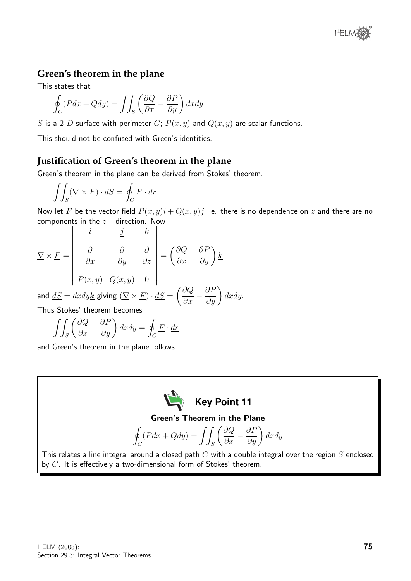

#### **Green's theorem in the plane**

This states that

$$
\oint_C (Pdx + Qdy) = \iint_S \left(\frac{\partial Q}{\partial x} - \frac{\partial P}{\partial y}\right) dxdy
$$

S is a 2-D surface with perimeter C;  $P(x, y)$  and  $Q(x, y)$  are scalar functions.

This should not be confused with Green's identities.

#### **Justification of Green's theorem in the plane**

Green's theorem in the plane can be derived from Stokes' theorem.

$$
\iint_S (\nabla \times \underline{F}) \cdot \underline{dS} = \oint_C \underline{F} \cdot \underline{dr}
$$

Now let  $\underline{F}$  be the vector field  $P(x, y)\underline{i} + Q(x, y)\underline{j}$  i.e. there is no dependence on  $z$  and there are no components in the  $z-$  direction. Now

$$
\nabla \times \underline{F} = \begin{vmatrix} \underline{i} & \underline{j} & \underline{k} \\ \frac{\partial}{\partial x} & \frac{\partial}{\partial y} & \frac{\partial}{\partial z} \\ P(x, y) & Q(x, y) & 0 \end{vmatrix} = \left(\frac{\partial Q}{\partial x} - \frac{\partial P}{\partial y}\right) \underline{k}
$$

and  $\underline{dS} = dx dy \underline{k}$  giving  $(\underline{\nabla} \times \underline{F}) \cdot \underline{dS} =$  $\left(\frac{\partial Q}{\partial x} - \frac{\partial P}{\partial y}\right)$ dxdy. Thus Stokes' theorem becomes

 $\int \int \rho \partial Q$  $\int$ 

$$
\iint_{S} \left( \frac{\partial Q}{\partial x} - \frac{\partial P}{\partial y} \right) dx dy = \oint_{C} \underline{F} \cdot \underline{dr}
$$

and Green's theorem in the plane follows.

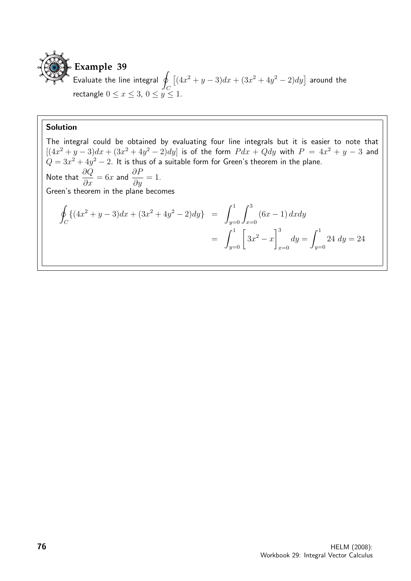

 $\overline{1}$  Evaluate the line integral  $\overline{q}$  $\mathcal C$  $\left[ (4x^2 + y - 3)dx + (3x^2 + 4y^2 - 2)dy \right]$  around the rectangle  $0 \le x \le 3, 0 \le y \le 1$ .

#### Solution

The integral could be obtained by evaluating four line integrals but it is easier to note that  $[(4x^2 + y - 3)dx + (3x^2 + 4y^2 - 2)dy]$  is of the form  $Pdx + Qdy$  with  $P = 4x^2 + y - 3$  and  $Q = 3x^2 + 4y^2 - 2$ . It is thus of a suitable form for Green's theorem in the plane. Note that  $\frac{\partial Q}{\partial x} = 6x$  and  $\frac{\partial P}{\partial y} = 1$ . Green's theorem in the plane becomes I  $\mathcal{C}_{0}^{0}$  $\{(4x^2+y-3)dx+(3x^2+4y^2-2)dy\} = \int_0^1$  $y=0$  $\int^3$  $x=0$  $(6x - 1) dx dy$  $= \int_{y=0}^{1} \left[$  $\left.\right]^{3}$  $dy = \int_0^1$ 

 $3x^2 - x$ 

 $x=0$ 

 $y=0$ 

24  $dy = 24$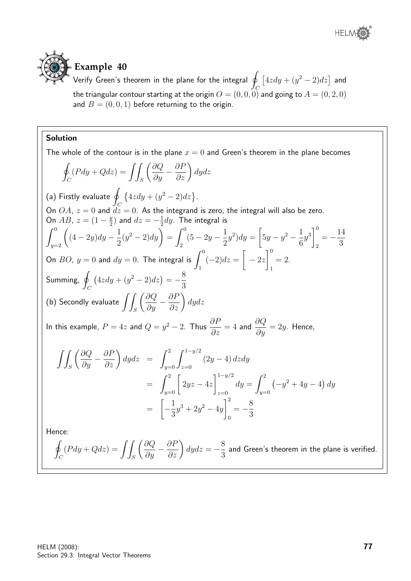



**Example 40**

Verify Green's theorem in the plane for the integral  $\oint\;[4zdy + (y^2-2)dz]$  and the triangular contour starting at the origin  $O = (0,0,0)$  and going to  $A = (0,2,0)$ and  $B = (0, 0, 1)$  before returning to the origin.

#### Solution

The whole of the contour is in the plane  $x = 0$  and Green's theorem in the plane becomes l<br>I  $\mathcal{C}_{0}^{(n)}$  $(Pdy + Qdz) = \int$ S  $\left(\frac{\partial Q}{\partial y} - \frac{\partial P}{\partial z}\right)$ dydz (a) Firstly evaluate  $\oint \, \{4zdy + (y^2-2)dz\}.$ On OA,  $z = 0$  and  $\frac{J_C}{dz} = 0$ . As the integrand is zero, the integral will also be zero. On *AB*,  $z = (1 - \frac{y}{2})$  $\frac{y}{2}$ ) and  $dz = -\frac{1}{2}$  $\frac{1}{2}$ dy. The integral is  $\int_{y=2}^{0}$  $(4-2y)dy-\frac{1}{2}$ 2  $(y^2-2)dy = \int_0^0$ 2  $(5-2y-\frac{1}{2})$ 2  $y^2)dy =$  $\sqrt{ }$  $5y - y^2 - \frac{1}{c}$ 6  $y^3\Big]^0$ 2  $=-\frac{14}{2}$ 3 On  $BO$ ,  $y = 0$  and  $dy = 0$ . The integral is  $\int^0$ 1  $(-2)dz =$  $\sqrt{ }$  $-2z$  $\overline{)}^0$ 1  $= 2.$ Summing, q  $\mathcal{C}_{0}^{0}$  $(4zdy + (y^2 - 2)dz) = -\frac{8}{3}$ 3 (b) Secondly evaluate  $\int$ S  $\left(\frac{\partial Q}{\partial y} - \frac{\partial P}{\partial z}\right)$ dydz In this example,  $P=4z$  and  $Q=y^2-2$ . Thus  $\frac{\partial P}{\partial z}=4$  and  $\frac{\partial Q}{\partial y}=2y$ . Hence,  $\int$ S  $\left(\frac{\partial Q}{\partial y} - \frac{\partial P}{\partial z}\right)$  $dydz = \int^2$  $y=0$  $\int_1^{1-y/2}$  $z=0$  $(2y-4) dz dy$  $= \int_{y=0}^{2} \left[$  $2yz - 4z$  $1^{-y/2}$  $z=0$  $dy = \int^2$  $y=0$  $(-y^2 + 4y - 4) dy$ =  $\sqrt{ }$  $\frac{1}{2}$ 3  $y^3 + 2y^2 - 4y$  $\vert$ <sup>2</sup> 0  $=-\frac{8}{3}$ 3 Hence:

l<br>I  $\mathcal C$  $(Pdy + Qdz) = \int$ S  $\left(\frac{\partial Q}{\partial y} - \frac{\partial P}{\partial z}\right)$  $dydz = -\frac{8}{3}$ 3 and Green's theorem in the plane is verified.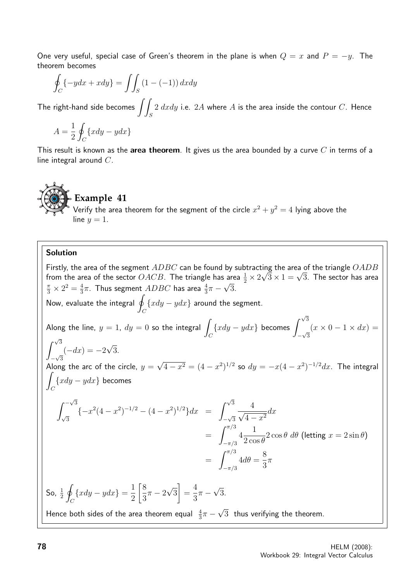One very useful, special case of Green's theorem in the plane is when  $Q = x$  and  $P = -y$ . The theorem becomes

$$
\oint_C \{-ydx + xdy\} = \iint_S (1 - (-1)) dx dy
$$

The right-hand side becomes  $\int$ S  $2 \; dx dy$  i.e.  $2A$  where  $A$  is the area inside the contour  $C.$  Hence

$$
A = \frac{1}{2} \oint_C \{ xdy - ydx \}
$$

This result is known as the area theorem. It gives us the area bounded by a curve  $C$  in terms of a line integral around C.

## **Example 41**

Verify the area theorem for the segment of the circle  $x^2 + y^2 = 4$  lying above the line  $y = 1$ .

#### Solution

Firstly, the area of the segment  $ADBC$  can be found by subtracting the area of the triangle  $OADB$ Firstly, the area of the segment  $ADBC$  can be found by subtracting the area of the triangle  $OADB$ <br>from the area of the sector  $OACB$ . The triangle has area  $\frac{1}{2} \times 2\sqrt{3} \times 1 = \sqrt{3}$ . The sector has area  $\frac{\pi}{3} \times 2^2 = \frac{4}{3}$  $\frac{4}{3}\pi$ . Thus segment  $\overline{ADBC}$  has area  $\frac{4}{3}\pi-\sqrt{3}$ . Now, evaluate the integral  $\oint \{xdy-ydx\}$  around the segment.  $\mathcal{C}_{0}^{0}$ Along the line,  $y = 1$ ,  $dy = 0$  so the integral  $\overline{\phantom{x}}$ C  $\{xdy - ydx\}$  becomes  $\int^{\sqrt{3}}$ − √ 3  $(x \times 0 - 1 \times dx) =$  $\int^{\sqrt{3}}$  $-\sqrt{3}$  $(-dx) = -2$ √ 3. Along the arc of the circle,  $y =$ √  $\overline{4-x^2} = (4-x^2)^{1/2}$  so  $dy = -x(4-x^2)^{-1/2}dx$ . The integral Z  $\mathcal{C}_{0}^{(n)}$  $\{xdy - ydx\}$  becomes  $\int -\sqrt{3}$ √ 3  $\{-x^2(4-x^2)^{-1/2}-(4-x^2)^{1/2}\}dx = \int^{\sqrt{3}}$  $-\sqrt{3}$  $\frac{4}{\sqrt{2}}$  $\frac{1}{4-x^2}dx$  $=$   $\int^{\pi/3}$  $-\pi/3$ 4 1  $2 \cos \theta$  $2\cos\theta \ d\theta$  (letting  $x = 2\sin\theta$ )  $=$   $\int^{\pi/3}$  $-\pi/3$  $4d\theta =$ 8 3  $\pi$ So,  $\frac{1}{2}$ I  $\mathcal{C}_{0}^{0}$  $\{xdy-ydx\}=\frac{1}{2}$ 2 8 3  $\pi - 2$ √ 3 1 = 4 3  $\pi -$ √ 3. Hence both sides of the area theorem equal  $\frac{4}{3}\pi$   $-$ √ 3 thus verifying the theorem.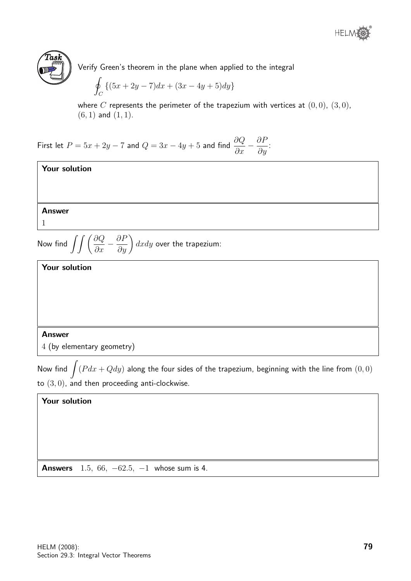



Verify Green's theorem in the plane when applied to the integral

$$
\oint_C \left\{ (5x + 2y - 7)dx + (3x - 4y + 5)dy \right\}
$$

where C represents the perimeter of the trapezium with vertices at  $(0, 0)$ ,  $(3, 0)$ ,  $(6, 1)$  and  $(1, 1)$ .

First let  $P=5x+2y-7$  and  $Q=3x-4y+5$  and find  $\displaystyle{\frac{\partial Q}{\partial x}-\frac{\partial P}{\partial y}}$  $rac{\partial}{\partial y}$ :



#### Answer

4 (by elementary geometry)

Now find  $\int (P dx + Q dy)$  along the four sides of the trapezium, beginning with the line from  $(0,0)$ to  $(3,0)$ , and then proceeding anti-clockwise.

#### Your solution

**Answers** 1.5, 66,  $-62.5$ ,  $-1$  whose sum is 4.